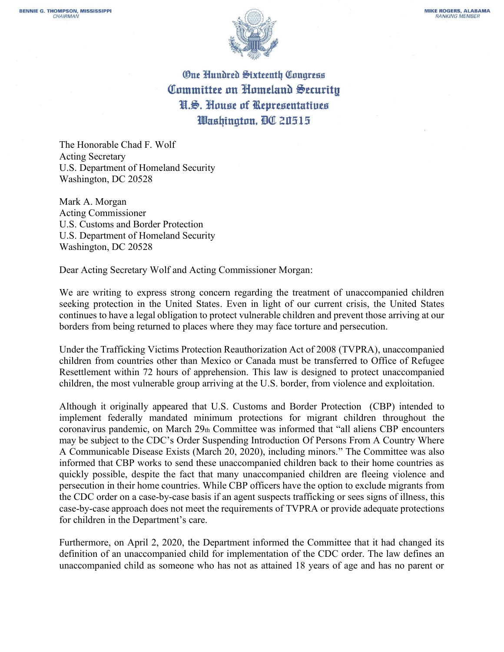

**One Hundred Sixteenth Congress** Committee on Homeland Security N.S. House of Representatives Washington, DC 20515

The Honorable Chad F. Wolf Acting Secretary U.S. Department of Homeland Security Washington, DC 20528

Mark A. Morgan Acting Commissioner U.S. Customs and Border Protection U.S. Department of Homeland Security Washington, DC 20528

Dear Acting Secretary Wolf and Acting Commissioner Morgan:

We are writing to express strong concern regarding the treatment of unaccompanied children seeking protection in the United States. Even in light of our current crisis, the United States continues to have a legal obligation to protect vulnerable children and prevent those arriving at our borders from being returned to places where they may face torture and persecution.

Under the Trafficking Victims Protection Reauthorization Act of 2008 (TVPRA), unaccompanied children from countries other than Mexico or Canada must be transferred to Office of Refugee Resettlement within 72 hours of apprehension. This law is designed to protect unaccompanied children, the most vulnerable group arriving at the U.S. border, from violence and exploitation.

Although it originally appeared that U.S. Customs and Border Protection (CBP) intended to implement federally mandated minimum protections for migrant children throughout the coronavirus pandemic, on March 29th Committee was informed that "all aliens CBP encounters may be subject to the CDC's Order Suspending Introduction Of Persons From A Country Where A Communicable Disease Exists (March 20, 2020), including minors." The Committee was also informed that CBP works to send these unaccompanied children back to their home countries as quickly possible, despite the fact that many unaccompanied children are fleeing violence and persecution in their home countries. While CBP officers have the option to exclude migrants from the CDC order on a case-by-case basis if an agent suspects trafficking or sees signs of illness, this case-by-case approach does not meet the requirements of TVPRA or provide adequate protections for children in the Department's care.

Furthermore, on April 2, 2020, the Department informed the Committee that it had changed its definition of an unaccompanied child for implementation of the CDC order. The law defines an unaccompanied child as someone who has not as attained 18 years of age and has no parent or